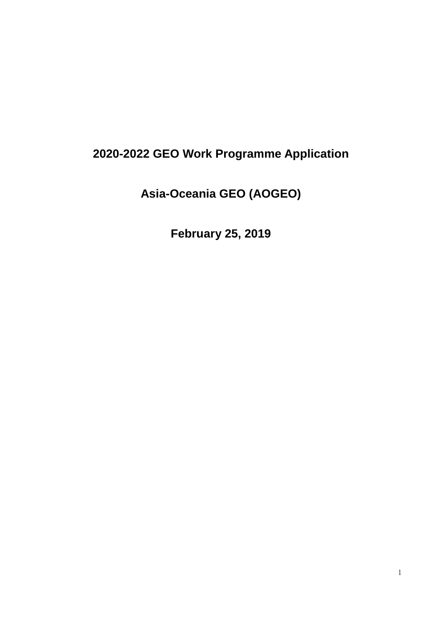# **2020-2022 GEO Work Programme Application**

**Asia-Oceania GEO (AOGEO)**

**February 25, 2019**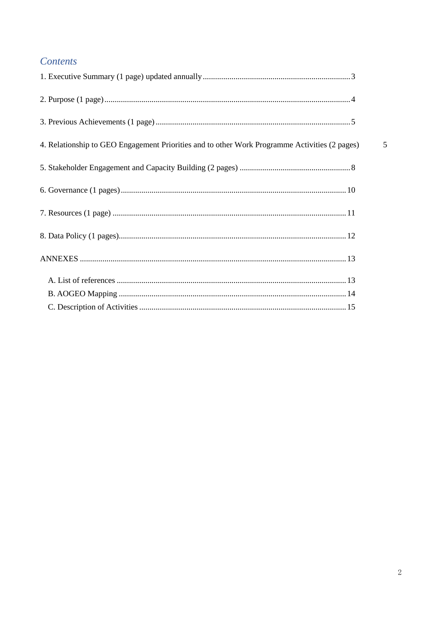# Contents

| 4. Relationship to GEO Engagement Priorities and to other Work Programme Activities (2 pages) |  |
|-----------------------------------------------------------------------------------------------|--|
|                                                                                               |  |
|                                                                                               |  |
|                                                                                               |  |
|                                                                                               |  |
|                                                                                               |  |
|                                                                                               |  |
|                                                                                               |  |
|                                                                                               |  |

 $\overline{5}$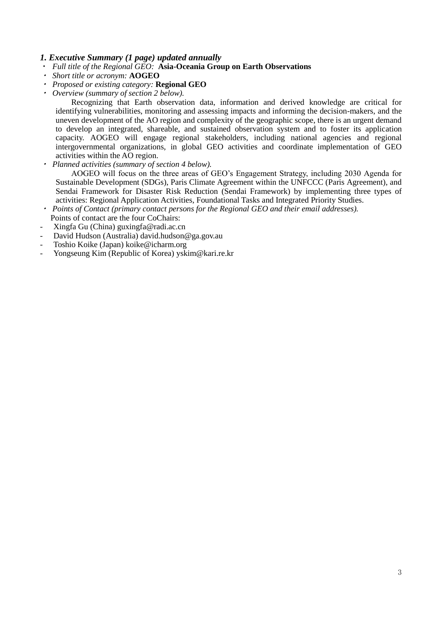# <span id="page-2-0"></span>*1. Executive Summary (1 page) updated annually*

- ・ *Full title of the Regional GEO:* **Asia-Oceania Group on Earth Observations**
- ・ *Short title or acronym:* **AOGEO**
- ・ *Proposed or existing category:* **Regional GEO**
- ・ *Overview (summary of section 2 below).*

Recognizing that Earth observation data, information and derived knowledge are critical for identifying vulnerabilities, monitoring and assessing impacts and informing the decision-makers, and the uneven development of the AO region and complexity of the geographic scope, there is an urgent demand to develop an integrated, shareable, and sustained observation system and to foster its application capacity. AOGEO will engage regional stakeholders, including national agencies and regional intergovernmental organizations, in global GEO activities and coordinate implementation of GEO activities within the AO region.

・*Planned activities (summary of section 4 below).*

AOGEO will focus on the three areas of GEO's Engagement Strategy, including 2030 Agenda for Sustainable Development (SDGs), Paris Climate Agreement within the UNFCCC (Paris Agreement), and Sendai Framework for Disaster Risk Reduction (Sendai Framework) by implementing three types of activities: Regional Application Activities, Foundational Tasks and Integrated Priority Studies.

- ・ *Points of Contact (primary contact persons for the Regional GEO and their email addresses).* Points of contact are the four CoChairs:
- Xingfa Gu (China) [guxingfa@radi.ac.cn](mailto:guxingfa@radi.ac.cn)
- David Hudson (Australia) [david.hudson@ga.gov.au](mailto:david.hudson@ga.gov.au)
- Toshio Koike (Japan) [koike@icharm.org](mailto:koike@icharm.org)
- Yongseung Kim (Republic of Korea) [yskim@kari.re.kr](mailto:yskim@kari.re.kr)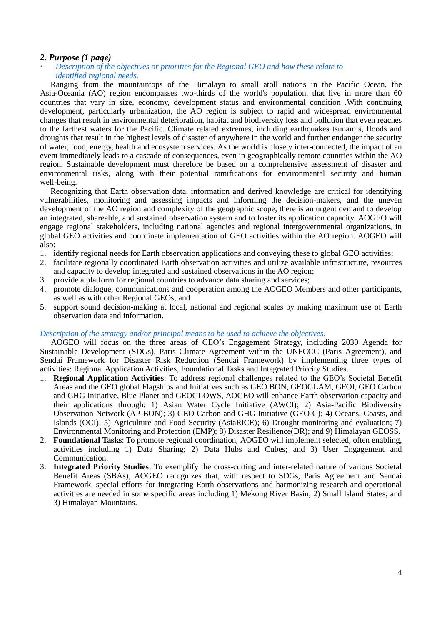### <span id="page-3-0"></span>*2. Purpose (1 page)*

### *Description of the objectives or priorities for the Regional GEO and how these relate to identified regional needs.*

Ranging from the mountaintops of the Himalaya to small atoll nations in the Pacific Ocean, the Asia-Oceania (AO) region encompasses two-thirds of the world's population, that live in more than 60 countries that vary in size, economy, development status and environmental condition .With continuing development, particularly urbanization, the AO region is subject to rapid and widespread environmental changes that result in environmental deterioration, habitat and biodiversity loss and pollution that even reaches to the farthest waters for the Pacific. Climate related extremes, including earthquakes tsunamis, floods and droughts that result in the highest levels of disaster of anywhere in the world and further endanger the security of water, food, energy, health and ecosystem services. As the world is closely inter-connected, the impact of an event immediately leads to a cascade of consequences, even in geographically remote countries within the AO region. Sustainable development must therefore be based on a comprehensive assessment of disaster and environmental risks, along with their potential ramifications for environmental security and human well-being.

Recognizing that Earth observation data, information and derived knowledge are critical for identifying vulnerabilities, monitoring and assessing impacts and informing the decision-makers, and the uneven development of the AO region and complexity of the geographic scope, there is an urgent demand to develop an integrated, shareable, and sustained observation system and to foster its application capacity. AOGEO will engage regional stakeholders, including national agencies and regional intergovernmental organizations, in global GEO activities and coordinate implementation of GEO activities within the AO region. AOGEO will also:

- 1. identify regional needs for Earth observation applications and conveying these to global GEO activities;
- 2. facilitate regionally coordinated Earth observation activities and utilize available infrastructure, resources and capacity to develop integrated and sustained observations in the AO region;
- 3. provide a platform for regional countries to advance data sharing and services;
- 4. promote dialogue, communications and cooperation among the AOGEO Members and other participants, as well as with other Regional GEOs; and
- 5. support sound decision-making at local, national and regional scales by making maximum use of Earth observation data and information.

#### *Description of the strategy and/or principal means to be used to achieve the objectives.*

AOGEO will focus on the three areas of GEO's Engagement Strategy, including 2030 Agenda for Sustainable Development (SDGs), Paris Climate Agreement within the UNFCCC (Paris Agreement), and Sendai Framework for Disaster Risk Reduction (Sendai Framework) by implementing three types of activities: Regional Application Activities, Foundational Tasks and Integrated Priority Studies.

- 1. **Regional Application Activities**: To address regional challenges related to the GEO's Societal Benefit Areas and the GEO global Flagships and Initiatives such as GEO BON, GEOGLAM, GFOI, GEO Carbon and GHG Initiative, Blue Planet and GEOGLOWS, AOGEO will enhance Earth observation capacity and their applications through: 1) Asian Water Cycle Initiative (AWCI); 2) Asia-Pacific Biodiversity Observation Network (AP-BON); 3) GEO Carbon and GHG Initiative (GEO-C); 4) Oceans, Coasts, and Islands (OCI); 5) Agriculture and Food Security (AsiaRiCE); 6) Drought monitoring and evaluation; 7) Environmental Monitoring and Protection (EMP); 8) Disaster Resilience(DR); and 9) Himalayan GEOSS.
- 2. **Foundational Tasks**: To promote regional coordination, AOGEO will implement selected, often enabling, activities including 1) Data Sharing; 2) Data Hubs and Cubes; and 3) User Engagement and Communication.
- 3. **Integrated Priority Studies**: To exemplify the cross-cutting and inter-related nature of various Societal Benefit Areas (SBAs), AOGEO recognizes that, with respect to SDGs, Paris Agreement and Sendai Framework, special efforts for integrating Earth observations and harmonizing research and operational activities are needed in some specific areas including 1) Mekong River Basin; 2) Small Island States; and 3) Himalayan Mountains.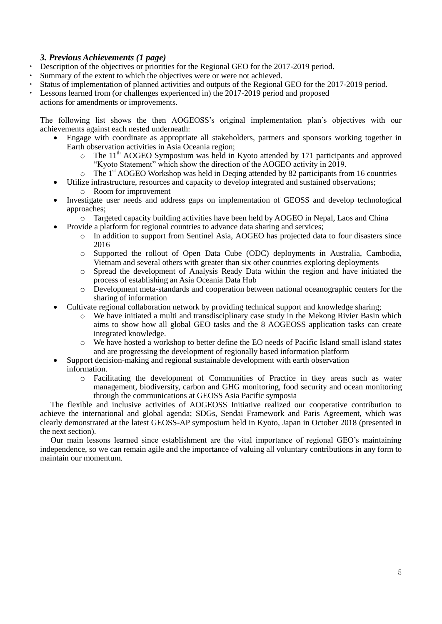# <span id="page-4-0"></span>*3. Previous Achievements (1 page)*

- Description of the objectives or priorities for the Regional GEO for the 2017-2019 period.
- Summary of the extent to which the objectives were or were not achieved.
- Status of implementation of planned activities and outputs of the Regional GEO for the 2017-2019 period.
- Lessons learned from (or challenges experienced in) the 2017-2019 period and proposed

actions for amendments or improvements.

<span id="page-4-1"></span>The following list shows the then AOGEOSS's original implementation plan's objectives with our achievements against each nested underneath:

- Engage with coordinate as appropriate all stakeholders, partners and sponsors working together in Earth observation activities in Asia Oceania region;
	- $\circ$  The 11<sup>th</sup> AOGEO Symposium was held in Kyoto attended by 171 participants and approved "Kyoto Statement" which show the direction of the AOGEO activity in 2019.
	- $\circ$  The 1<sup>st</sup> AOGEO Workshop was held in Deqing attended by 82 participants from 16 countries
- Utilize infrastructure, resources and capacity to develop integrated and sustained observations; o Room for improvement
- Investigate user needs and address gaps on implementation of GEOSS and develop technological approaches;
	- o Targeted capacity building activities have been held by AOGEO in Nepal, Laos and China
	- Provide a platform for regional countries to advance data sharing and services;
		- o In addition to support from Sentinel Asia, AOGEO has projected data to four disasters since 2016
		- o Supported the rollout of Open Data Cube (ODC) deployments in Australia, Cambodia, Vietnam and several others with greater than six other countries exploring deployments
		- o Spread the development of Analysis Ready Data within the region and have initiated the process of establishing an Asia Oceania Data Hub
		- o Development meta-standards and cooperation between national oceanographic centers for the sharing of information
		- Cultivate regional collaboration network by providing technical support and knowledge sharing;
			- o We have initiated a multi and transdisciplinary case study in the Mekong Rivier Basin which aims to show how all global GEO tasks and the 8 AOGEOSS application tasks can create integrated knowledge.
			- o We have hosted a workshop to better define the EO needs of Pacific Island small island states and are progressing the development of regionally based information platform
	- Support decision-making and regional sustainable development with earth observation information.
		- o Facilitating the development of Communities of Practice in tkey areas such as water management, biodiversity, carbon and GHG monitoring, food security and ocean monitoring through the communications at GEOSS Asia Pacific symposia

The flexible and inclusive activities of AOGEOSS Initiative realized our cooperative contribution to achieve the international and global agenda; SDGs, Sendai Framework and Paris Agreement, which was clearly demonstrated at the latest GEOSS-AP symposium held in Kyoto, Japan in October 2018 (presented in the next section).

Our main lessons learned since establishment are the vital importance of regional GEO's maintaining independence, so we can remain agile and the importance of valuing all voluntary contributions in any form to maintain our momentum.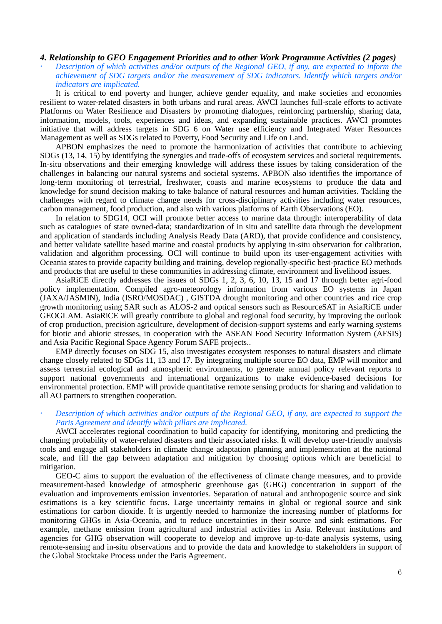### *4. Relationship to GEO Engagement Priorities and to other Work Programme Activities (2 pages)*

 *Description of which activities and/or outputs of the Regional GEO, if any, are expected to inform the achievement of SDG targets and/or the measurement of SDG indicators. Identify which targets and/or indicators are implicated.* 

It is critical to end poverty and hunger, achieve gender equality, and make societies and economies resilient to water-related disasters in both urbans and rural areas. AWCI launches full-scale efforts to activate Platforms on Water Resilience and Disasters by promoting dialogues, reinforcing partnership, sharing data, information, models, tools, experiences and ideas, and expanding sustainable practices. AWCI promotes initiative that will address targets in SDG 6 on Water use efficiency and Integrated Water Resources Management as well as SDGs related to Poverty, Food Security and Life on Land.

APBON emphasizes the need to promote the harmonization of activities that contribute to achieving SDGs (13, 14, 15) by identifying the synergies and trade-offs of ecosystem services and societal requirements. In-situ observations and their emerging knowledge will address these issues by taking consideration of the challenges in balancing our natural systems and societal systems. APBON also identifies the importance of long-term monitoring of terrestrial, freshwater, coasts and marine ecosystems to produce the data and knowledge for sound decision making to take balance of natural resources and human activities. Tackling the challenges with regard to climate change needs for cross-disciplinary activities including water resources, carbon management, food production, and also with various platforms of Earth Observations (EO).

In relation to SDG14, OCI will promote better access to marine data through: interoperability of data such as catalogues of state owned-data; standardization of in situ and satellite data through the development and application of standards including Analysis Ready Data (ARD), that provide confidence and consistency, and better validate satellite based marine and coastal products by applying in-situ observation for calibration, validation and algorithm processing. OCI will continue to build upon its user-engagement activities with Oceania states to provide capacity building and training, develop regionally-specific best-practice EO methods and products that are useful to these communities in addressing climate, environment and livelihood issues.

AsiaRiCE directly addresses the issues of SDGs 1, 2, 3, 6, 10, 13, 15 and 17 through better agri-food policy implementation. Compiled agro-meteorology information from various EO systems in Japan (JAXA/JASMIN), India (ISRO/MOSDAC) , GISTDA drought monitoring and other countries and rice crop growth monitoring using SAR such as ALOS-2 and optical sensors such as ResourceSAT in AsiaRiCE under GEOGLAM. AsiaRiCE will greatly contribute to global and regional food security, by improving the outlook of crop production, precision agriculture, development of decision-support systems and early warning systems for biotic and abiotic stresses, in cooperation with the ASEAN Food Security Information System (AFSIS) and Asia Pacific Regional Space Agency Forum SAFE projects..

EMP directly focuses on SDG 15, also investigates ecosystem responses to natural disasters and climate change closely related to SDGs 11, 13 and 17. By integrating multiple source EO data, EMP will monitor and assess terrestrial ecological and atmospheric environments, to generate annual policy relevant reports to support national governments and international organizations to make evidence-based decisions for environmental protection. EMP will provide quantitative remote sensing products for sharing and validation to all AO partners to strengthen cooperation.

### *Description of which activities and/or outputs of the Regional GEO, if any, are expected to support the Paris Agreement and identify which pillars are implicated.*

AWCI accelerates regional coordination to build capacity for identifying, monitoring and predicting the changing probability of water-related disasters and their associated risks. It will develop user-friendly analysis tools and engage all stakeholders in climate change adaptation planning and implementation at the national scale, and fill the gap between adaptation and mitigation by choosing options which are beneficial to mitigation.

GEO-C aims to support the evaluation of the effectiveness of climate change measures, and to provide measurement-based knowledge of atmospheric greenhouse gas (GHG) concentration in support of the evaluation and improvements emission inventories. Separation of natural and anthropogenic source and sink estimations is a key scientific focus. Large uncertainty remains in global or regional source and sink estimations for carbon dioxide. It is urgently needed to harmonize the increasing number of platforms for monitoring GHGs in Asia-Oceania, and to reduce uncertainties in their source and sink estimations. For example, methane emission from agricultural and industrial activities in Asia. Relevant institutions and agencies for GHG observation will cooperate to develop and improve up-to-date analysis systems, using remote-sensing and in-situ observations and to provide the data and knowledge to stakeholders in support of the Global Stocktake Process under the Paris Agreement.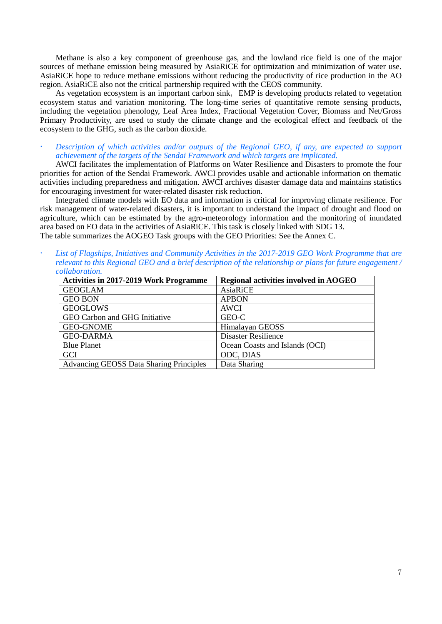Methane is also a key component of greenhouse gas, and the lowland rice field is one of the major sources of methane emission being measured by AsiaRiCE for optimization and minimization of water use. AsiaRiCE hope to reduce methane emissions without reducing the productivity of rice production in the AO region. AsiaRiCE also not the critical partnership required with the CEOS community.

As vegetation ecosystem is an important carbon sink, EMP is developing products related to vegetation ecosystem status and variation monitoring. The long-time series of quantitative remote sensing products, including the vegetation phenology, Leaf Area Index, Fractional Vegetation Cover, Biomass and Net/Gross Primary Productivity, are used to study the climate change and the ecological effect and feedback of the ecosystem to the GHG, such as the carbon dioxide.

 *Description of which activities and/or outputs of the Regional GEO, if any, are expected to support achievement of the targets of the Sendai Framework and which targets are implicated.*

AWCI facilitates the implementation of Platforms on Water Resilience and Disasters to promote the four priorities for action of the Sendai Framework. AWCI provides usable and actionable information on thematic activities including preparedness and mitigation. AWCI archives disaster damage data and maintains statistics for encouraging investment for water-related disaster risk reduction.

Integrated climate models with EO data and information is critical for improving climate resilience. For risk management of water-related disasters, it is important to understand the impact of drought and flood on agriculture, which can be estimated by the agro-meteorology information and the monitoring of inundated area based on EO data in the activities of AsiaRiCE. This task is closely linked with SDG 13. The table summarizes the AOGEO Task groups with the GEO Priorities: See the Annex C.

 *List of Flagships, Initiatives and Community Activities in the 2017-2019 GEO Work Programme that are relevant to this Regional GEO and a brief description of the relationship or plans for future engagement / collaboration.*

<span id="page-6-0"></span>

| <b>Activities in 2017-2019 Work Programme</b>  | <b>Regional activities involved in AOGEO</b> |  |  |  |  |  |  |
|------------------------------------------------|----------------------------------------------|--|--|--|--|--|--|
| <b>GEOGLAM</b>                                 | AsiaRiCE                                     |  |  |  |  |  |  |
| <b>GEO BON</b>                                 | <b>APBON</b>                                 |  |  |  |  |  |  |
| <b>GEOGLOWS</b>                                | <b>AWCI</b>                                  |  |  |  |  |  |  |
| GEO Carbon and GHG Initiative                  | GEO-C                                        |  |  |  |  |  |  |
| <b>GEO-GNOME</b>                               | Himalayan GEOSS                              |  |  |  |  |  |  |
| <b>GEO-DARMA</b>                               | <b>Disaster Resilience</b>                   |  |  |  |  |  |  |
| <b>Blue Planet</b>                             | Ocean Coasts and Islands (OCI)               |  |  |  |  |  |  |
| GCI                                            | ODC, DIAS                                    |  |  |  |  |  |  |
| <b>Advancing GEOSS Data Sharing Principles</b> | Data Sharing                                 |  |  |  |  |  |  |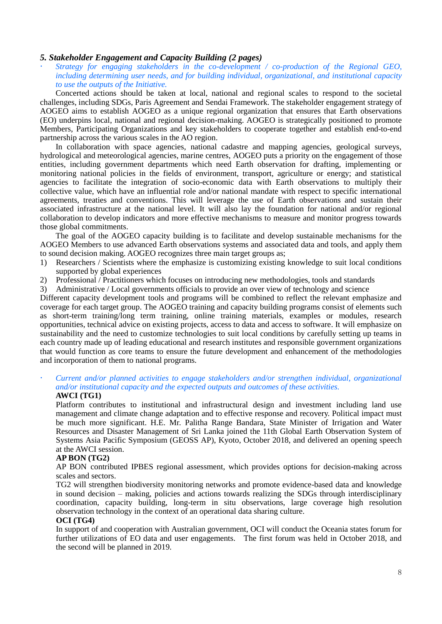### *5. Stakeholder Engagement and Capacity Building (2 pages)*

 *Strategy for engaging stakeholders in the co-development / co-production of the Regional GEO, including determining user needs, and for building individual, organizational, and institutional capacity to use the outputs of the Initiative.*

Concerted actions should be taken at local, national and regional scales to respond to the societal challenges, including SDGs, Paris Agreement and Sendai Framework. The stakeholder engagement strategy of AOGEO aims to establish AOGEO as a unique regional organization that ensures that Earth observations (EO) underpins local, national and regional decision-making. AOGEO is strategically positioned to promote Members, Participating Organizations and key stakeholders to cooperate together and establish end-to-end partnership across the various scales in the AO region.

In collaboration with space agencies, national cadastre and mapping agencies, geological surveys, hydrological and meteorological agencies, marine centres, AOGEO puts a priority on the engagement of those entities, including government departments which need Earth observation for drafting, implementing or monitoring national policies in the fields of environment, transport, agriculture or energy; and statistical agencies to facilitate the integration of socio-economic data with Earth observations to multiply their collective value, which have an influential role and/or national mandate with respect to specific international agreements, treaties and conventions. This will leverage the use of Earth observations and sustain their associated infrastructure at the national level. It will also lay the foundation for national and/or regional collaboration to develop indicators and more effective mechanisms to measure and monitor progress towards those global commitments.

The goal of the AOGEO capacity building is to facilitate and develop sustainable mechanisms for the AOGEO Members to use advanced Earth observations systems and associated data and tools, and apply them to sound decision making. AOGEO recognizes three main target groups as;

- 1) Researchers / Scientists where the emphasize is customizing existing knowledge to suit local conditions supported by global experiences
- 2) Professional / Practitioners which focuses on introducing new methodologies, tools and standards
- 3) Administrative / Local governments officials to provide an over view of technology and science

Different capacity development tools and programs will be combined to reflect the relevant emphasize and coverage for each target group. The AOGEO training and capacity building programs consist of elements such as short-term training/long term training, online training materials, examples or modules, research opportunities, technical advice on existing projects, access to data and access to software. It will emphasize on sustainability and the need to customize technologies to suit local conditions by carefully setting up teams in each country made up of leading educational and research institutes and responsible government organizations that would function as core teams to ensure the future development and enhancement of the methodologies and incorporation of them to national programs.

 *Current and/or planned activities to engage stakeholders and/or strengthen individual, organizational and/or institutional capacity and the expected outputs and outcomes of these activities.* **AWCI (TG1)**

Platform contributes to institutional and infrastructural design and investment including land use management and climate change adaptation and to effective response and recovery. Political impact must be much more significant. H.E. Mr. Palitha Range Bandara, State Minister of Irrigation and Water Resources and Disaster Management of Sri Lanka joined the 11th Global Earth Observation System of Systems Asia Pacific Symposium (GEOSS AP), Kyoto, October 2018, and delivered an opening speech at the AWCI session.

### **AP BON (TG2)**

AP BON contributed IPBES regional assessment, which provides options for decision-making across scales and sectors.

TG2 will strengthen biodiversity monitoring networks and promote evidence-based data and knowledge in sound decision – making, policies and actions towards realizing the SDGs through interdisciplinary coordination, capacity building, long-term in situ observations, large coverage high resolution observation technology in the context of an operational data sharing culture.

### **OCI (TG4)**

In support of and cooperation with Australian government, OCI will conduct the Oceania states forum for further utilizations of EO data and user engagements. The first forum was held in October 2018, and the second will be planned in 2019.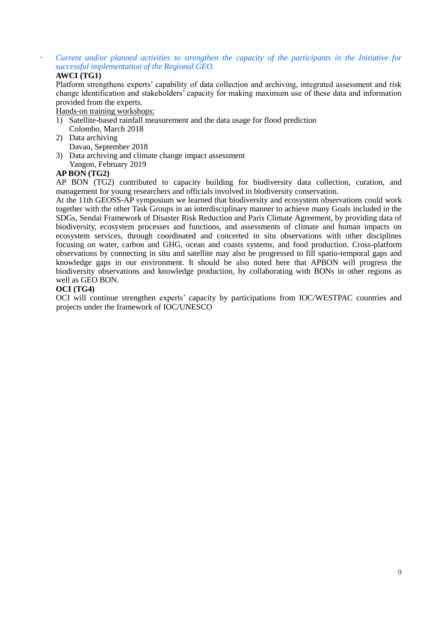# *Current and/or planned activities to strengthen the capacity of the participants in the Initiative for successful implementation of the Regional GEO.*

### **AWCI (TG1)**

Platform strengthens experts' capability of data collection and archiving, integrated assessment and risk change identification and stakeholders' capacity for making maximum use of these data and information provided from the experts.

Hands-on training workshops:

- 1) Satellite-based rainfall measurement and the data usage for flood prediction
- Colombo, March 2018
- 2) Data archiving Davao, September 2018
- 3) Data archiving and climate change impact assessment Yangon, February 2019

# **AP BON (TG2)**

AP BON (TG2) contributed to capacity building for biodiversity data collection, curation, and management for young researchers and officials involved in biodiversity conservation.

At the 11th GEOSS-AP symposium we learned that biodiversity and ecosystem observations could work together with the other Task Groups in an interdisciplinary manner to achieve many Goals included in the SDGs, Sendai Framework of Disaster Risk Reduction and Paris Climate Agreement, by providing data of biodiversity, ecosystem processes and functions, and assessments of climate and human impacts on ecosystem services, through coordinated and concerted in situ observations with other disciplines focusing on water, carbon and GHG, ocean and coasts systems, and food production. Cross-platform observations by connecting in situ and satellite may also be progressed to fill spatio-temporal gaps and knowledge gaps in our environment. It should be also noted here that APBON will progress the biodiversity observations and knowledge production, by collaborating with BONs in other regions as well as GEO BON.

### **OCI (TG4)**

OCI will continue strengthen experts' capacity by participations from IOC/WESTPAC countries and projects under the framework of IOC/UNESCO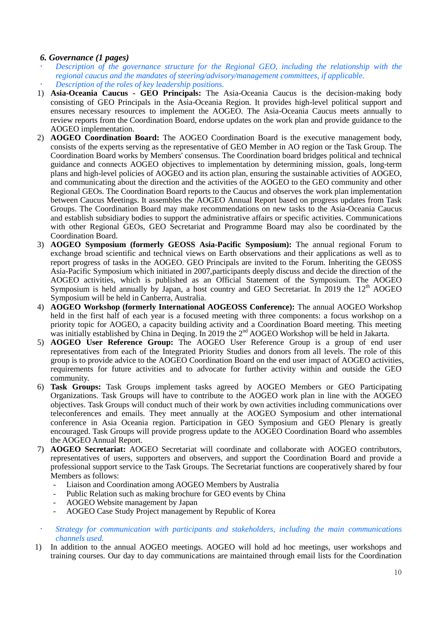# <span id="page-9-0"></span>*6. Governance (1 pages)*

- *Description of the governance structure for the Regional GEO, including the relationship with the regional caucus and the mandates of steering/advisory/management committees, if applicable. Description of the roles of key leadership positions.*
- 1) **Asia-Oceania Caucus - GEO Principals:** The Asia-Oceania Caucus is the decision-making body consisting of GEO Principals in the Asia-Oceania Region. It provides high-level political support and ensures necessary resources to implement the AOGEO. The Asia-Oceania Caucus meets annually to review reports from the Coordination Board, endorse updates on the work plan and provide guidance to the AOGEO implementation.
- 2) **AOGEO Coordination Board:** The AOGEO Coordination Board is the executive management body, consists of the experts serving as the representative of GEO Member in AO region or the Task Group. The Coordination Board works by Members' consensus. The Coordination board bridges political and technical guidance and connects AOGEO objectives to implementation by determining mission, goals, long-term plans and high-level policies of AOGEO and its action plan, ensuring the sustainable activities of AOGEO, and communicating about the direction and the activities of the AOGEO to the GEO community and other Regional GEOs. The Coordination Board reports to the Caucus and observes the work plan implementation between Caucus Meetings. It assembles the AOGEO Annual Report based on progress updates from Task Groups. The Coordination Board may make recommendations on new tasks to the Asia-Oceania Caucus and establish subsidiary bodies to support the administrative affairs or specific activities. Communications with other Regional GEOs, GEO Secretariat and Programme Board may also be coordinated by the Coordination Board.
- 3) **AOGEO Symposium (formerly GEOSS Asia-Pacific Symposium):** The annual regional Forum to exchange broad scientific and technical views on Earth observations and their applications as well as to report progress of tasks in the AOGEO. GEO Principals are invited to the Forum. Inheriting the GEOSS Asia-Pacific Symposium which initiated in 2007,participants deeply discuss and decide the direction of the AOGEO activities, which is published as an Official Statement of the Symposium. The AOGEO Symposium is held annually by Japan, a host country and GEO Secretariat. In  $2019$  the  $12<sup>th</sup>$  AOGEO Symposium will be held in Canberra, Australia.
- 4) **AOGEO Workshop (formerly International AOGEOSS Conference):** The annual AOGEO Workshop held in the first half of each year is a focused meeting with three components: a focus workshop on a priority topic for AOGEO, a capacity building activity and a Coordination Board meeting. This meeting was initially established by China in Deqing. In 2019 the 2nd AOGEO Workshop will be held in Jakarta.
- 5) **AOGEO User Reference Group:** The AOGEO User Reference Group is a group of end user representatives from each of the Integrated Priority Studies and donors from all levels. The role of this group is to provide advice to the AOGEO Coordination Board on the end user impact of AOGEO activities, requirements for future activities and to advocate for further activity within and outside the GEO community.
- 6) **Task Groups:** Task Groups implement tasks agreed by AOGEO Members or GEO Participating Organizations. Task Groups will have to contribute to the AOGEO work plan in line with the AOGEO objectives. Task Groups will conduct much of their work by own activities including communications over teleconferences and emails. They meet annually at the AOGEO Symposium and other international conference in Asia Oceania region. Participation in GEO Symposium and GEO Plenary is greatly encouraged. Task Groups will provide progress update to the AOGEO Coordination Board who assembles the AOGEO Annual Report.
- 7) **AOGEO Secretariat:** AOGEO Secretariat will coordinate and collaborate with AOGEO contributors, representatives of users, supporters and observers, and support the Coordination Board and provide a professional support service to the Task Groups. The Secretariat functions are cooperatively shared by four Members as follows:
	- Liaison and Coordination among AOGEO Members by Australia
	- Public Relation such as making brochure for GEO events by China
	- AOGEO Website management by Japan
	- AOGEO Case Study Project management by Republic of Korea
- *Strategy for communication with participants and stakeholders, including the main communications channels used.*
- 1) In addition to the annual AOGEO meetings. AOGEO will hold ad hoc meetings, user workshops and training courses. Our day to day communications are maintained through email lists for the Coordination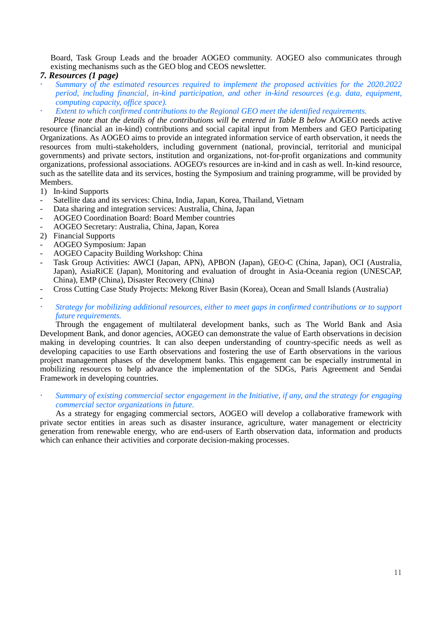Board, Task Group Leads and the broader AOGEO community. AOGEO also communicates through existing mechanisms such as the GEO blog and CEOS newsletter.

### <span id="page-10-0"></span>*7. Resources (1 page)*

- *Summary of the estimated resources required to implement the proposed activities for the 2020.2022 period, including financial, in-kind participation, and other in-kind resources (e.g. data, equipment, computing capacity, office space).*
- *Extent to which confirmed contributions to the Regional GEO meet the identified requirements.*

*Please note that the details of the contributions will be entered in Table B below* AOGEO needs active resource (financial an in-kind) contributions and social capital input from Members and GEO Participating Organizations. As AOGEO aims to provide an integrated information service of earth observation, it needs the resources from multi-stakeholders, including government (national, provincial, territorial and municipal governments) and private sectors, institution and organizations, not-for-profit organizations and community organizations, professional associations. AOGEO's resources are in-kind and in cash as well. In-kind resource, such as the satellite data and its services, hosting the Symposium and training programme, will be provided by Members.

- 1) In-kind Supports
- Satellite data and its services: China, India, Japan, Korea, Thailand, Vietnam
- Data sharing and integration services: Australia, China, Japan
- AOGEO Coordination Board: Board Member countries
- AOGEO Secretary: Australia, China, Japan, Korea
- 2) Financial Supports
- AOGEO Symposium: Japan
- AOGEO Capacity Building Workshop: China
- Task Group Activities: AWCI (Japan, APN), APBON (Japan), GEO-C (China, Japan), OCI (Australia, Japan), AsiaRiCE (Japan), Monitoring and evaluation of drought in Asia-Oceania region (UNESCAP, China), EMP (China), Disaster Recovery (China)
- Cross Cutting Case Study Projects: Mekong River Basin (Korea), Ocean and Small Islands (Australia)

-

 *Strategy for mobilizing additional resources, either to meet gaps in confirmed contributions or to support future requirements.*

Through the engagement of multilateral development banks, such as The World Bank and Asia Development Bank, and donor agencies, AOGEO can demonstrate the value of Earth observations in decision making in developing countries. It can also deepen understanding of country-specific needs as well as developing capacities to use Earth observations and fostering the use of Earth observations in the various project management phases of the development banks. This engagement can be especially instrumental in mobilizing resources to help advance the implementation of the SDGs, Paris Agreement and Sendai Framework in developing countries.

 *Summary of existing commercial sector engagement in the Initiative, if any, and the strategy for engaging commercial sector organizations in future.*

As a strategy for engaging commercial sectors, AOGEO will develop a collaborative framework with private sector entities in areas such as disaster insurance, agriculture, water management or electricity generation from renewable energy, who are end-users of Earth observation data, information and products which can enhance their activities and corporate decision-making processes.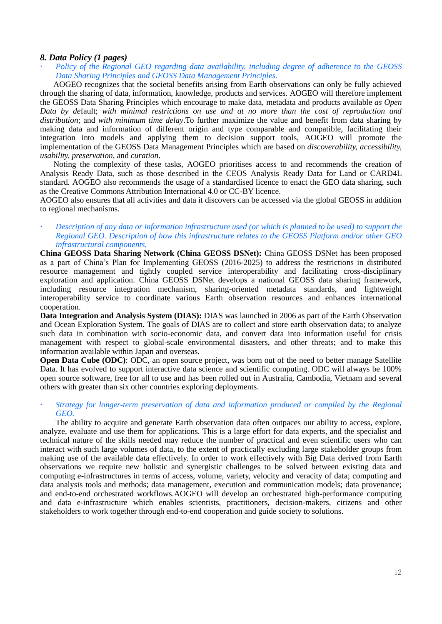### <span id="page-11-0"></span>*8. Data Policy (1 pages)*

 *Policy of the Regional GEO regarding data availability, including degree of adherence to the GEOSS Data Sharing Principles and GEOSS Data Management Principles.*

AOGEO recognizes that the societal benefits arising from Earth observations can only be fully achieved through the sharing of data, information, knowledge, products and services. AOGEO will therefore implement the GEOSS Data Sharing Principles which encourage to make data, metadata and products available *as Open Data by de*fault; *with minimal restrictions on use and at no more than the cost of reproduction and distribution*; and *with minimum time delay*.To further maximize the value and benefit from data sharing by making data and information of different origin and type comparable and compatible, facilitating their integration into models and applying them to decision support tools, AOGEO will promote the implementation of the GEOSS Data Management Principles which are based on *discoverability, accessibility, usability, preservation*, and *curation*.

Noting the complexity of these tasks, AOGEO prioritises access to and recommends the creation of Analysis Ready Data, such as those described in the CEOS Analysis Ready Data for Land or CARD4L standard. AOGEO also recommends the usage of a standardised licence to enact the GEO data sharing, such as the Creative Commons Attribution International 4.0 or CC-BY licence.

AOGEO also ensures that all activities and data it discovers can be accessed via the global GEOSS in addition to regional mechanisms.

 *Description of any data or information infrastructure used (or which is planned to be used) to support the Regional GEO. Description of how this infrastructure relates to the GEOSS Platform and/or other GEO infrastructural components.*

**China GEOSS Data Sharing Network (China GEOSS DSNet):** China GEOSS DSNet has been proposed as a part of China's Plan for Implementing GEOSS (2016-2025) to address the restrictions in distributed resource management and tightly coupled service interoperability and facilitating cross-disciplinary exploration and application. China GEOSS DSNet develops a national GEOSS data sharing framework, including resource integration mechanism, sharing-oriented metadata standards, and lightweight interoperability service to coordinate various Earth observation resources and enhances international cooperation.

**Data Integration and Analysis System (DIAS):** DIAS was launched in 2006 as part of the Earth Observation and Ocean Exploration System. The goals of DIAS are to collect and store earth observation data; to analyze such data in combination with socio-economic data, and convert data into information useful for crisis management with respect to global-scale environmental disasters, and other threats; and to make this information available within Japan and overseas.

**Open Data Cube (ODC):** ODC, an open source project, was born out of the need to better manage Satellite Data. It has evolved to support interactive data science and scientific computing. ODC will always be 100% open source software, free for all to use and has been rolled out in Australia, Cambodia, Vietnam and several others with greater than six other countries exploring deployments.

### *Strategy for longer-term preservation of data and information produced or compiled by the Regional GEO.*

<span id="page-11-1"></span>The ability to acquire and generate Earth observation data often outpaces our ability to access, explore, analyze, evaluate and use them for applications. This is a large effort for data experts, and the specialist and technical nature of the skills needed may reduce the number of practical and even scientific users who can interact with such large volumes of data, to the extent of practically excluding large stakeholder groups from making use of the available data effectively. In order to work effectively with Big Data derived from Earth observations we require new holistic and synergistic challenges to be solved between existing data and computing e-infrastructures in terms of access, volume, variety, velocity and veracity of data; computing and data analysis tools and methods; data management, execution and communication models; data provenance; and end-to-end orchestrated workflows.AOGEO will develop an orchestrated high-performance computing and data e-infrastructure which enables scientists, practitioners, decision-makers, citizens and other stakeholders to work together through end-to-end cooperation and guide society to solutions.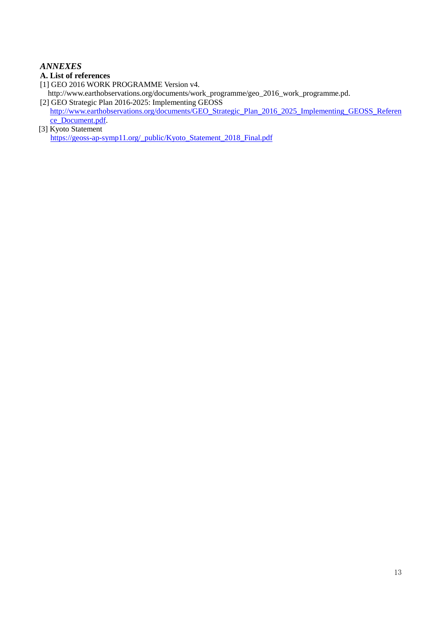# *ANNEXES*

- <span id="page-12-0"></span>**A. List of references**
- [1] GEO 2016 WORK PROGRAMME Version v4.
- http://www.earthobservations.org/documents/work\_programme/geo\_2016\_work\_programme.pd. [2] GEO Strategic Plan 2016-2025: Implementing GEOSS
- [http://www.earthobservations.org/documents/GEO\\_Strategic\\_Plan\\_2016\\_2025\\_Implementing\\_GEOSS\\_Referen](http://www.earthobservations.org/documents/GEO_Strategic_Plan_2016_2025_Implementing_GEOSS_Reference_Document.pdf) [ce\\_Document.pdf.](http://www.earthobservations.org/documents/GEO_Strategic_Plan_2016_2025_Implementing_GEOSS_Reference_Document.pdf)
- [3] Kyoto Statement [https://geoss-ap-symp11.org/\\_public/Kyoto\\_Statement\\_2018\\_Final.pdf](https://geoss-ap-symp11.org/_public/Kyoto_Statement_2018_Final.pdf)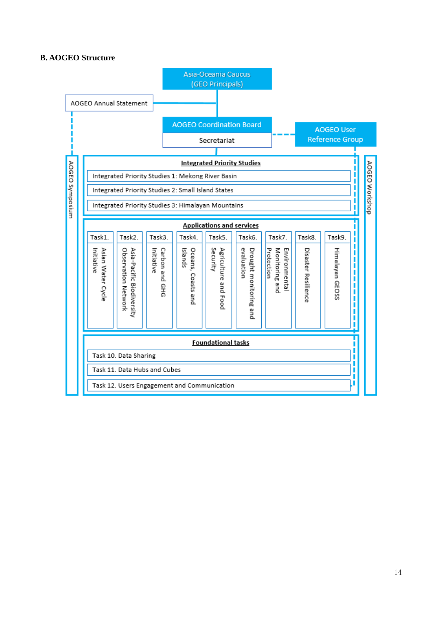### <span id="page-13-0"></span>**B. AOGEO Structure**

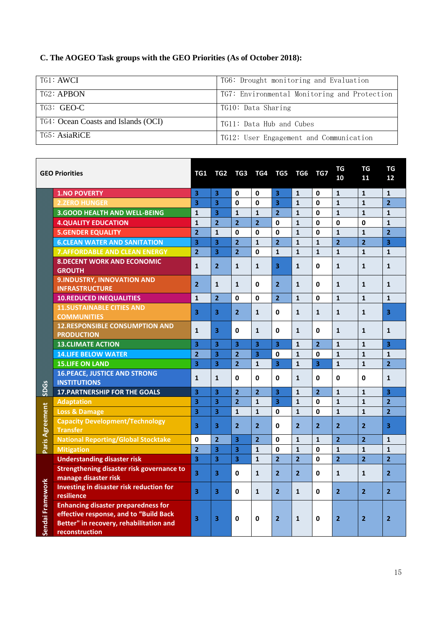# <span id="page-14-0"></span>**C. The AOGEO Task groups with the GEO Priorities (As of October 2018):**

| TG1: AWCI                           | TG6: Drought monitoring and Evaluation       |
|-------------------------------------|----------------------------------------------|
| TG2: APBON                          | TG7: Environmental Monitoring and Protection |
| TG3: GEO-C                          | TG10: Data Sharing                           |
| TG4: Ocean Coasts and Islands (OCI) | TG11: Data Hub and Cubes                     |
| TG5: AsiaRiCE                       | TG12: User Engagement and Communication      |

|                                                                                                                                                                                                                                   | <b>GEO Priorities</b>                                                                                                                             | TG1                     |                         | TG2 TG3 TG4 TG5         |                         |                         | TG6            | TG7                     | TG<br>10       | TG<br>11       | <b>TG</b><br>12         |
|-----------------------------------------------------------------------------------------------------------------------------------------------------------------------------------------------------------------------------------|---------------------------------------------------------------------------------------------------------------------------------------------------|-------------------------|-------------------------|-------------------------|-------------------------|-------------------------|----------------|-------------------------|----------------|----------------|-------------------------|
|                                                                                                                                                                                                                                   | <b>1.NO POVERTY</b>                                                                                                                               | $\overline{\mathbf{3}}$ | 3                       | 0                       | $\bf{0}$                | $\overline{\mathbf{3}}$ | $\mathbf{1}$   | $\Omega$                | $\mathbf{1}$   | $\mathbf{1}$   | $\mathbf{1}$            |
|                                                                                                                                                                                                                                   | <b>2.ZERO HUNGER</b>                                                                                                                              | $\overline{\mathbf{3}}$ | $\overline{\mathbf{3}}$ | $\mathbf 0$             | 0                       | $\overline{\mathbf{3}}$ | $\mathbf{1}$   | $\Omega$                | $\mathbf{1}$   | $\mathbf{1}$   | $\overline{2}$          |
|                                                                                                                                                                                                                                   | <b>3.GOOD HEALTH AND WELL-BEING</b>                                                                                                               | $\mathbf{1}$            | $\overline{\mathbf{3}}$ | $\mathbf{1}$            | $\mathbf{1}$            | $\overline{2}$          | $\mathbf{1}$   | 0                       | $\mathbf{1}$   | $\mathbf{1}$   | $\mathbf{1}$            |
|                                                                                                                                                                                                                                   | <b>4.QUALITY EDUCATION</b>                                                                                                                        | $\mathbf{1}$            | $\overline{2}$          | $\overline{2}$          | $\overline{2}$          | $\mathbf{0}$            | $\mathbf{1}$   | $\mathbf 0$             | $\mathbf 0$    | $\mathbf{0}$   | $\mathbf{1}$            |
|                                                                                                                                                                                                                                   | <b>5.GENDER EQUALITY</b>                                                                                                                          | $\overline{2}$          | $\mathbf{1}$            | 0                       | $\mathbf{0}$            | $\mathbf{0}$            | $\mathbf{1}$   | $\mathbf{0}$            | $\mathbf{1}$   | $\mathbf{1}$   | $\overline{2}$          |
|                                                                                                                                                                                                                                   | <b>6.CLEAN WATER AND SANITATION</b>                                                                                                               | $\overline{\mathbf{3}}$ | $\overline{\mathbf{3}}$ | $\overline{2}$          | $\mathbf{1}$            | $\overline{2}$          | $\mathbf{1}$   | $\mathbf{1}$            | $\overline{2}$ | $\overline{2}$ | $\overline{\mathbf{3}}$ |
|                                                                                                                                                                                                                                   | <b>7. AFFORDABLE AND CLEAN ENERGY</b>                                                                                                             | $\overline{2}$          | 3                       | $\overline{2}$          | 0                       | $\mathbf{1}$            | $\mathbf{1}$   | $\mathbf{1}$            | $\mathbf{1}$   | 1              | $\mathbf{1}$            |
|                                                                                                                                                                                                                                   | <b>8. DECENT WORK AND ECONOMIC</b><br><b>GROUTH</b>                                                                                               | 1                       | $\overline{2}$          | 1                       | $\mathbf{1}$            | 3                       | 1              | 0                       | 1              | $\mathbf{1}$   | $\mathbf{1}$            |
|                                                                                                                                                                                                                                   | 9. INDUSTRY, INNOVATION AND<br><b>INFRASTRUCTURE</b>                                                                                              | $\overline{2}$          | $\mathbf{1}$            | $\mathbf{1}$            | 0                       | $\overline{2}$          | $\mathbf{1}$   | 0                       | $\mathbf{1}$   | $\mathbf{1}$   | $\mathbf{1}$            |
|                                                                                                                                                                                                                                   | <b>10.REDUCED INEQUALITIES</b>                                                                                                                    | $\mathbf{1}$            | $\overline{2}$          | 0                       | $\mathbf{0}$            | 2 <sup>1</sup>          | $\mathbf{1}$   | $\mathbf{0}$            | $\mathbf{1}$   | $\mathbf{1}$   | $\mathbf{1}$            |
|                                                                                                                                                                                                                                   | <b>11.SUSTAINABLE CITIES AND</b><br><b>COMMUNITIES</b>                                                                                            | $\overline{\mathbf{3}}$ | 3                       | $\overline{2}$          | $\mathbf{1}$            | 0                       | $\mathbf{1}$   | $\mathbf{1}$            | $\mathbf{1}$   | $\mathbf{1}$   | $\overline{\mathbf{3}}$ |
|                                                                                                                                                                                                                                   | <b>12.RESPONSIBLE CONSUMPTION AND</b><br><b>PRODUCTION</b>                                                                                        | $\mathbf{1}$            | 3                       | 0                       | $\mathbf{1}$            | $\mathbf{0}$            | $\mathbf{1}$   | 0                       | $\mathbf{1}$   | $\mathbf{1}$   | $\mathbf{1}$            |
|                                                                                                                                                                                                                                   | <b>13.CLIMATE ACTION</b>                                                                                                                          | 3                       | $\overline{\mathbf{3}}$ | $\overline{\mathbf{3}}$ | $\overline{\mathbf{3}}$ | $\overline{\mathbf{3}}$ | $\mathbf{1}$   | $\overline{2}$          | $\mathbf{1}$   | $\mathbf{1}$   | $\overline{\mathbf{3}}$ |
|                                                                                                                                                                                                                                   | <b>14.LIFE BELOW WATER</b>                                                                                                                        | $\overline{2}$          | $\overline{\mathbf{3}}$ | $\overline{2}$          | $\overline{\mathbf{3}}$ | $\mathbf 0$             | $\mathbf{1}$   | $\Omega$                | $\mathbf{1}$   | $\mathbf{1}$   | $\mathbf{1}$            |
|                                                                                                                                                                                                                                   | <b>15.LIFE ON LAND</b>                                                                                                                            | $\overline{\mathbf{3}}$ | $\overline{\mathbf{3}}$ | $\overline{2}$          | $\mathbf{1}$            | $\overline{3}$          | $\mathbf{1}$   | $\overline{\mathbf{3}}$ | $\mathbf{1}$   | $\mathbf{1}$   | $\overline{2}$          |
|                                                                                                                                                                                                                                   | <b>16. PEACE, JUSTICE AND STRONG</b><br><b>INSTITUTIONS</b>                                                                                       | $\mathbf{1}$            | $\mathbf{1}$            | 0                       | $\Omega$                | <sup>0</sup>            | $\mathbf{1}$   | 0                       | 0              | $\mathbf{0}$   | $\mathbf{1}$            |
| e de la provincia de la construcción de la construcción de la construcción de la construcción de la construcció<br>La construcción de la construcción de la construcción de la construcción de la construcción de la construcción | <b>17. PARTNERSHIP FOR THE GOALS</b>                                                                                                              | 3                       | $\overline{\mathbf{3}}$ | $\overline{2}$          | $\overline{2}$          | 3                       | 1              | $\overline{2}$          | $\mathbf{1}$   | $\mathbf{1}$   | $\overline{\mathbf{3}}$ |
|                                                                                                                                                                                                                                   | <b>Adaptation</b>                                                                                                                                 | 3                       | 3                       | $\overline{2}$          | $\mathbf{1}$            | $\overline{\mathbf{3}}$ | $\mathbf{1}$   | 0                       | $\mathbf{1}$   | $\mathbf{1}$   | $\overline{2}$          |
|                                                                                                                                                                                                                                   | <b>Loss &amp; Damage</b>                                                                                                                          | $\overline{\mathbf{3}}$ | $\overline{\mathbf{3}}$ | $\mathbf{1}$            | $\mathbf{1}$            | $\mathbf{0}$            | $\mathbf{1}$   | $\mathbf{0}$            | $\mathbf{1}$   | $\mathbf{1}$   | $\overline{2}$          |
| <b>The Second College Property</b>                                                                                                                                                                                                | <b>Capacity Development/Technology</b><br><b>Transfer</b>                                                                                         | $\overline{\mathbf{3}}$ | $\overline{\mathbf{3}}$ | $\overline{2}$          | $\overline{2}$          | 0                       | $\overline{2}$ | $\overline{2}$          | $\overline{2}$ | $\overline{2}$ | 3                       |
|                                                                                                                                                                                                                                   | <b>National Reporting/Global Stocktake</b>                                                                                                        | 0                       | $\overline{2}$          | $\overline{\mathbf{3}}$ | $\overline{2}$          | $\mathbf{0}$            | $\mathbf{1}$   | $\mathbf{1}$            | $\overline{2}$ | $\overline{2}$ | $\mathbf{1}$            |
| Sendai Framework                                                                                                                                                                                                                  | <b>Mitigation</b>                                                                                                                                 | $\overline{2}$          | $\overline{\mathbf{3}}$ | $\overline{\mathbf{3}}$ | $\mathbf{1}$            | $\mathbf{0}$            | $\mathbf{1}$   | $\mathbf{0}$            | $\mathbf{1}$   | $\mathbf{1}$   | $\mathbf{1}$            |
|                                                                                                                                                                                                                                   | <b>Understanding disaster risk</b>                                                                                                                | $\overline{\mathbf{3}}$ | $\overline{\mathbf{3}}$ | $\overline{\mathbf{3}}$ | $\mathbf{1}$            | $\overline{2}$          | $\overline{2}$ | $\mathbf{0}$            | $\overline{2}$ | $\overline{2}$ | $\overline{2}$          |
|                                                                                                                                                                                                                                   | <b>Strengthening disaster risk governance to</b><br>manage disaster risk                                                                          | 3                       | 3                       | 0                       | $\mathbf{1}$            | $\overline{2}$          | $\overline{2}$ | 0                       | $\mathbf{1}$   | $\mathbf{1}$   | $\overline{2}$          |
|                                                                                                                                                                                                                                   | Investing in disaster risk reduction for<br>resilience                                                                                            | $\overline{\mathbf{3}}$ | 3                       | 0                       | $\mathbf{1}$            | $\overline{2}$          | $\mathbf{1}$   | $\mathbf{0}$            | $\overline{2}$ | $\overline{2}$ | $\overline{2}$          |
|                                                                                                                                                                                                                                   | <b>Enhancing disaster preparedness for</b><br>effective response, and to "Build Back<br>Better" in recovery, rehabilitation and<br>reconstruction | $\overline{\mathbf{3}}$ | 3                       | 0                       | <sup>0</sup>            | $\overline{2}$          | $\mathbf{1}$   | 0                       | $\overline{2}$ | $\overline{2}$ | $\overline{2}$          |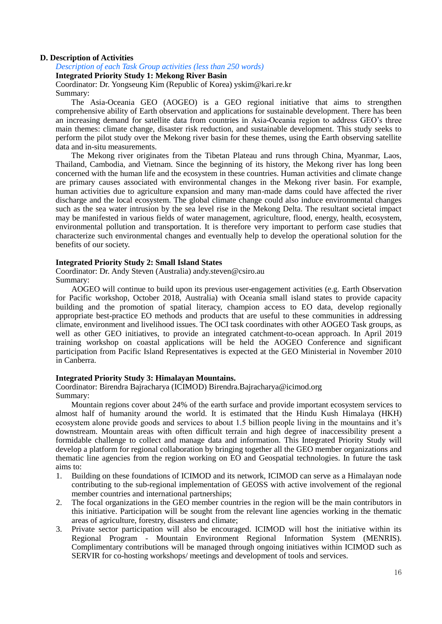### **D. Description of Activities**

*Description of each Task Group activities (less than 250 words)*

**Integrated Priority Study 1: Mekong River Basin**

Coordinator: Dr. Yongseung Kim (Republic of Korea) yskim@kari.re.kr Summary:

The Asia-Oceania GEO (AOGEO) is a GEO regional initiative that aims to strengthen comprehensive ability of Earth observation and applications for sustainable development. There has been an increasing demand for satellite data from countries in Asia-Oceania region to address GEO's three main themes: climate change, disaster risk reduction, and sustainable development. This study seeks to perform the pilot study over the Mekong river basin for these themes, using the Earth observing satellite data and in-situ measurements.

The Mekong river originates from the Tibetan Plateau and runs through China, Myanmar, Laos, Thailand, Cambodia, and Vietnam. Since the beginning of its history, the Mekong river has long been concerned with the human life and the ecosystem in these countries. Human activities and climate change are primary causes associated with environmental changes in the Mekong river basin. For example, human activities due to agriculture expansion and many man-made dams could have affected the river discharge and the local ecosystem. The global climate change could also induce environmental changes such as the sea water intrusion by the sea level rise in the Mekong Delta. The resultant societal impact may be manifested in various fields of water management, agriculture, flood, energy, health, ecosystem, environmental pollution and transportation. It is therefore very important to perform case studies that characterize such environmental changes and eventually help to develop the operational solution for the benefits of our society.

### **Integrated Priority Study 2: Small Island States**

Coordinator: Dr. Andy Steven (Australia) andy.steven@csiro.au Summary:

AOGEO will continue to build upon its previous user-engagement activities (e.g. Earth Observation for Pacific workshop, October 2018, Australia) with Oceania small island states to provide capacity building and the promotion of spatial literacy, champion access to EO data, develop regionally appropriate best-practice EO methods and products that are useful to these communities in addressing climate, environment and livelihood issues. The OCI task coordinates with other AOGEO Task groups, as well as other GEO initiatives, to provide an integrated catchment-to-ocean approach. In April 2019 training workshop on coastal applications will be held the AOGEO Conference and significant participation from Pacific Island Representatives is expected at the GEO Ministerial in November 2010 in Canberra.

### **Integrated Priority Study 3: Himalayan Mountains.**

Coordinator: Birendra Bajracharya (ICIMOD) Birendra.Bajracharya@icimod.org Summary:

Mountain regions cover about 24% of the earth surface and provide important ecosystem services to almost half of humanity around the world. It is estimated that the Hindu Kush Himalaya (HKH) ecosystem alone provide goods and services to about 1.5 billion people living in the mountains and it's downstream. Mountain areas with often difficult terrain and high degree of inaccessibility present a formidable challenge to collect and manage data and information. This Integrated Priority Study will develop a platform for regional collaboration by bringing together all the GEO member organizations and thematic line agencies from the region working on EO and Geospatial technologies. In future the task aims to:

- 1. Building on these foundations of ICIMOD and its network, ICIMOD can serve as a Himalayan node contributing to the sub-regional implementation of GEOSS with active involvement of the regional member countries and international partnerships;
- 2. The focal organizations in the GEO member countries in the region will be the main contributors in this initiative. Participation will be sought from the relevant line agencies working in the thematic areas of agriculture, forestry, disasters and climate;
- 3. Private sector participation will also be encouraged. ICIMOD will host the initiative within its Regional Program - Mountain Environment Regional Information System (MENRIS). Complimentary contributions will be managed through ongoing initiatives within ICIMOD such as SERVIR for co-hosting workshops/ meetings and development of tools and services.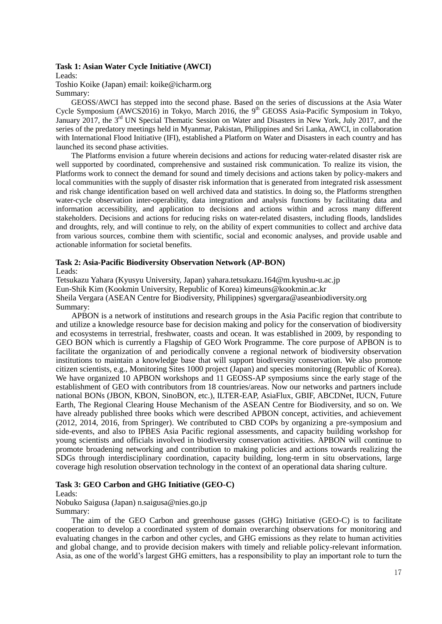# **Task 1: Asian Water Cycle Initiative (AWCI)**

Leads:

Toshio Koike (Japan) email: koike@icharm.org Summary:

GEOSS/AWCI has stepped into the second phase. Based on the series of discussions at the Asia Water Cycle Symposium (AWCS2016) in Tokyo, March 2016, the 9<sup>th</sup> GEOSS Asia-Pacific Symposium in Tokyo, January 2017, the 3<sup>rd</sup> UN Special Thematic Session on Water and Disasters in New York, July 2017, and the series of the predatory meetings held in Myanmar, Pakistan, Philippines and Sri Lanka, AWCI, in collaboration with International Flood Initiative (IFI), established a Platform on Water and Disasters in each country and has launched its second phase activities.

The Platforms envision a future wherein decisions and actions for reducing water-related disaster risk are well supported by coordinated, comprehensive and sustained risk communication. To realize its vision, the Platforms work to connect the demand for sound and timely decisions and actions taken by policy-makers and local communities with the supply of disaster risk information that is generated from integrated risk assessment and risk change identification based on well archived data and statistics. In doing so, the Platforms strengthen water-cycle observation inter-operability, data integration and analysis functions by facilitating data and information accessibility, and application to decisions and actions within and across many different stakeholders. Decisions and actions for reducing risks on water-related disasters, including floods, landslides and droughts, rely, and will continue to rely, on the ability of expert communities to collect and archive data from various sources, combine them with scientific, social and economic analyses, and provide usable and actionable information for societal benefits.

# **Task 2: Asia-Pacific Biodiversity Observation Network (AP-BON)**

Leads:

Tetsukazu Yahara (Kyusyu University, Japan) yahara.tetsukazu.164@m.kyushu-u.ac.jp Eun-Shik Kim (Kookmin University, Republic of Korea) kimeuns@kookmin.ac.kr Sheila Vergara (ASEAN Centre for Biodiversity, Philippines) sgvergara@aseanbiodiversity.org Summary:

APBON is a network of institutions and research groups in the Asia Pacific region that contribute to and utilize a knowledge resource base for decision making and policy for the conservation of biodiversity and ecosystems in terrestrial, freshwater, coasts and ocean. It was established in 2009, by responding to GEO BON which is currently a Flagship of GEO Work Programme. The core purpose of APBON is to facilitate the organization of and periodically convene a regional network of biodiversity observation institutions to maintain a knowledge base that will support biodiversity conservation. We also promote citizen scientists, e.g., Monitoring Sites 1000 project (Japan) and species monitoring (Republic of Korea). We have organized 10 APBON workshops and 11 GEOSS-AP symposiums since the early stage of the establishment of GEO with contributors from 18 countries/areas. Now our networks and partners include national BONs (JBON, KBON, SinoBON, etc.), ILTER-EAP, AsiaFlux, GBIF, ABCDNet, IUCN, Future Earth, The Regional Clearing House Mechanism of the ASEAN Centre for Biodiversity, and so on. We have already published three books which were described APBON concept, activities, and achievement (2012, 2014, 2016, from Springer). We contributed to CBD COPs by organizing a pre-symposium and side-events, and also to IPBES Asia Pacific regional assessments, and capacity building workshop for young scientists and officials involved in biodiversity conservation activities. APBON will continue to promote broadening networking and contribution to making policies and actions towards realizing the SDGs through interdisciplinary coordination, capacity building, long-term in situ observations, large coverage high resolution observation technology in the context of an operational data sharing culture.

# **Task 3: GEO Carbon and GHG Initiative (GEO-C)**

Leads:

Nobuko Saigusa (Japan) n.saigusa@nies.go.jp Summary:

The aim of the GEO Carbon and greenhouse gasses (GHG) Initiative (GEO-C) is to facilitate cooperation to develop a coordinated system of domain overarching observations for monitoring and evaluating changes in the carbon and other cycles, and GHG emissions as they relate to human activities and global change, and to provide decision makers with timely and reliable policy-relevant information. Asia, as one of the world's largest GHG emitters, has a responsibility to play an important role to turn the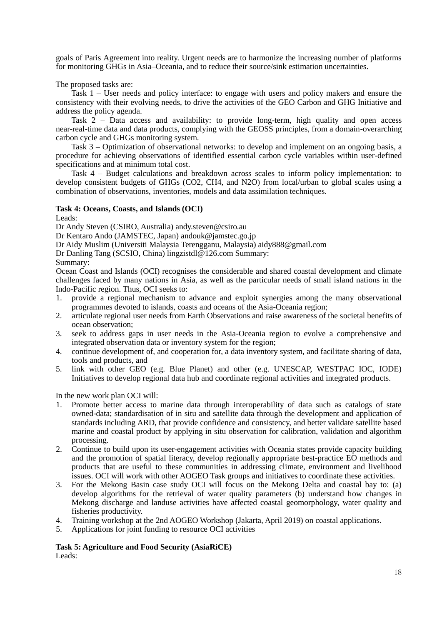goals of Paris Agreement into reality. Urgent needs are to harmonize the increasing number of platforms for monitoring GHGs in Asia–Oceania, and to reduce their source/sink estimation uncertainties.

The proposed tasks are:

Task 1 – User needs and policy interface: to engage with users and policy makers and ensure the consistency with their evolving needs, to drive the activities of the GEO Carbon and GHG Initiative and address the policy agenda.

Task  $2$  – Data access and availability: to provide long-term, high quality and open access near-real-time data and data products, complying with the GEOSS principles, from a domain-overarching carbon cycle and GHGs monitoring system.

Task 3 – Optimization of observational networks: to develop and implement on an ongoing basis, a procedure for achieving observations of identified essential carbon cycle variables within user-defined specifications and at minimum total cost.

Task 4 – Budget calculations and breakdown across scales to inform policy implementation: to develop consistent budgets of GHGs (CO2, CH4, and N2O) from local/urban to global scales using a combination of observations, inventories, models and data assimilation techniques.

# **Task 4: Oceans, Coasts, and Islands (OCI)**

Leads:

Dr Andy Steven (CSIRO, Australia) andy.steven@csiro.au

Dr Kentaro Ando (JAMSTEC, Japan) andouk@jamstec.go.jp

Dr Aidy Muslim (Universiti Malaysia Terengganu, Malaysia) aidy888@gmail.com

Dr Danling Tang (SCSIO, China) lingzistdl@126.com Summary:

Summary:

Ocean Coast and Islands (OCI) recognises the considerable and shared coastal development and climate challenges faced by many nations in Asia, as well as the particular needs of small island nations in the Indo-Pacific region. Thus, OCI seeks to:

- 1. provide a regional mechanism to advance and exploit synergies among the many observational programmes devoted to islands, coasts and oceans of the Asia-Oceania region;
- 2. articulate regional user needs from Earth Observations and raise awareness of the societal benefits of ocean observation;
- 3. seek to address gaps in user needs in the Asia-Oceania region to evolve a comprehensive and integrated observation data or inventory system for the region;
- 4. continue development of, and cooperation for, a data inventory system, and facilitate sharing of data, tools and products, and
- 5. link with other GEO (e.g. Blue Planet) and other (e.g. UNESCAP, WESTPAC IOC, IODE) Initiatives to develop regional data hub and coordinate regional activities and integrated products.

In the new work plan OCI will:

- 1. Promote better access to marine data through interoperability of data such as catalogs of state owned-data; standardisation of in situ and satellite data through the development and application of standards including ARD, that provide confidence and consistency, and better validate satellite based marine and coastal product by applying in situ observation for calibration, validation and algorithm processing.
- 2. Continue to build upon its user-engagement activities with Oceania states provide capacity building and the promotion of spatial literacy, develop regionally appropriate best-practice EO methods and products that are useful to these communities in addressing climate, environment and livelihood issues. OCI will work with other AOGEO Task groups and initiatives to coordinate these activities.
- 3. For the Mekong Basin case study OCI will focus on the Mekong Delta and coastal bay to: (a) develop algorithms for the retrieval of water quality parameters (b) understand how changes in Mekong discharge and landuse activities have affected coastal geomorphology, water quality and fisheries productivity.
- 4. Training workshop at the 2nd AOGEO Workshop (Jakarta, April 2019) on coastal applications.
- 5. Applications for joint funding to resource OCI activities

**Task 5: Agriculture and Food Security (AsiaRiCE)** Leads: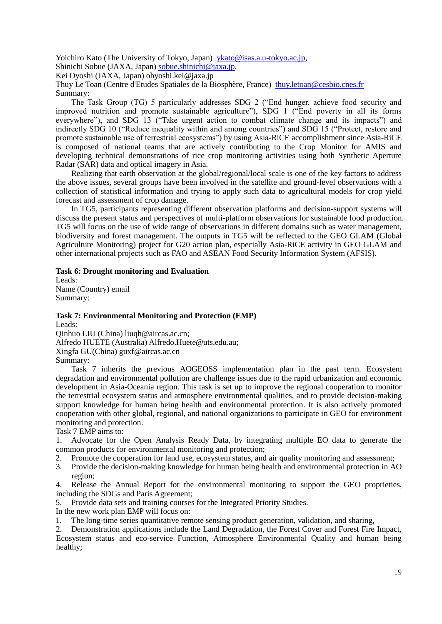Yoichiro Kato (The University of Tokyo, Japan) [ykato@isas.a.u-tokyo.ac.jp,](mailto:ykato@isas.a.u-tokyo.ac.jp)

Shinichi Sobue (JAXA, Japan) [sobue.shinichi@jaxa.jp,](mailto:sobue.shinichi@jaxa.jp)

Kei Oyoshi (JAXA, Japan) ohyoshi.kei@jaxa.jp

Thuy Le Toan (Centre d'Etudes Spatiales de la Biosphère, France) [thuy.letoan@cesbio.cnes.fr](mailto:thuy.letoan@cesbio.cnes.fr) Summary:

The Task Group (TG) 5 particularly addresses SDG 2 ("End hunger, achieve food security and improved nutrition and promote sustainable agriculture"), SDG 1 ("End poverty in all its forms everywhere"), and SDG 13 ("Take urgent action to combat climate change and its impacts") and indirectly SDG 10 ("Reduce inequality within and among countries") and SDG 15 ("Protect, restore and promote sustainable use of terrestrial ecosystems") by using Asia-RiCE accomplishment since Asia-RiCE is composed of national teams that are actively contributing to the Crop Monitor for AMIS and developing technical demonstrations of rice crop monitoring activities using both Synthetic Aperture Radar (SAR) data and optical imagery in Asia.

Realizing that earth observation at the global/regional/local scale is one of the key factors to address the above issues, several groups have been involved in the satellite and ground-level observations with a collection of statistical information and trying to apply such data to agricultural models for crop yield forecast and assessment of crop damage.

In TG5, participants representing different observation platforms and decision-support systems will discuss the present status and perspectives of multi-platform observations for sustainable food production. TG5 will focus on the use of wide range of observations in different domains such as water management, biodiversity and forest management. The outputs in TG5 will be reflected to the GEO GLAM (Global Agriculture Monitoring) project for G20 action plan, especially Asia-RiCE activity in GEO GLAM and other international projects such as FAO and ASEAN Food Security Information System (AFSIS).

### **Task 6: Drought monitoring and Evaluation**

Leads: Name (Country) email Summary:

### **Task 7: Environmental Monitoring and Protection (EMP)** Leads:

Qinhuo LIU (China) liuqh@aircas.ac.cn;

Alfredo HUETE (Australia) Alfredo.Huete@uts.edu.au;

Xingfa GU(China) guxf@aircas.ac.cn

Summary:

Task 7 inherits the previous AOGEOSS implementation plan in the past term. Ecosystem degradation and environmental pollution are challenge issues due to the rapid urbanization and economic development in Asia-Oceania region. This task is set up to improve the regional cooperation to monitor the terrestrial ecosystem status and atmosphere environmental qualities, and to provide decision-making support knowledge for human being health and environmental protection. It is also actively promoted cooperation with other global, regional, and national organizations to participate in GEO for environment monitoring and protection.

Task 7 EMP aims to:

1. Advocate for the Open Analysis Ready Data, by integrating multiple EO data to generate the common products for environmental monitoring and protection;

- 2. Promote the cooperation for land use, ecosystem status, and air quality monitoring and assessment;<br>3. Provide the decision-making knowledge for human being health and environmental protection in A
- 3. Provide the decision-making knowledge for human being health and environmental protection in AO region;

4. Release the Annual Report for the environmental monitoring to support the GEO proprieties, including the SDGs and Paris Agreement;

5. Provide data sets and training courses for the Integrated Priority Studies.

In the new work plan EMP will focus on:

1. The long-time series quantitative remote sensing product generation, validation, and sharing,

2. Demonstration applications include the Land Degradation, the Forest Cover and Forest Fire Impact, Ecosystem status and eco-service Function, Atmosphere Environmental Quality and human being healthy;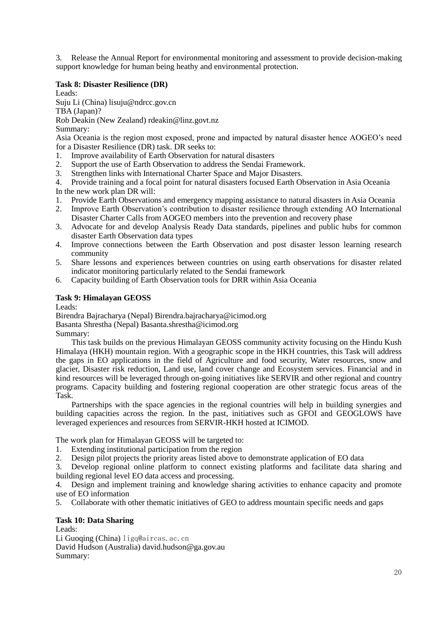3. Release the Annual Report for environmental monitoring and assessment to provide decision-making support knowledge for human being heathy and environmental protection.

### **Task 8: Disaster Resilience (DR)**

Leads:

Suju Li (China) lisuju@ndrcc.gov.cn

TBA (Japan)?

Rob Deakin (New Zealand) rdeakin@linz.govt.nz

Summary:

Asia Oceania is the region most exposed, prone and impacted by natural disaster hence AOGEO's need for a Disaster Resilience (DR) task. DR seeks to:

- 1. Improve availability of Earth Observation for natural disasters
- 2. Support the use of Earth Observation to address the Sendai Framework.
- 3. Strengthen links with International Charter Space and Major Disasters.

4. Provide training and a focal point for natural disasters focused Earth Observation in Asia Oceania

In the new work plan DR will:

- 1. Provide Earth Observations and emergency mapping assistance to natural disasters in Asia Oceania
- 2. Improve Earth Observation's contribution to disaster resilience through extending AO International Disaster Charter Calls from AOGEO members into the prevention and recovery phase
- 3. Advocate for and develop Analysis Ready Data standards, pipelines and public hubs for common disaster Earth Observation data types
- 4. Improve connections between the Earth Observation and post disaster lesson learning research community
- 5. Share lessons and experiences between countries on using earth observations for disaster related indicator monitoring particularly related to the Sendai framework
- 6. Capacity building of Earth Observation tools for DRR within Asia Oceania

# **Task 9: Himalayan GEOSS**

Leads:

Birendra Bajracharya (Nepal) Birendra.bajracharya@icimod.org Basanta Shrestha (Nepal) Basanta.shrestha@icimod.org Summary:

This task builds on the previous Himalayan GEOSS community activity focusing on the Hindu Kush Himalaya (HKH) mountain region. With a geographic scope in the HKH countries, this Task will address the gaps in EO applications in the field of Agriculture and food security, Water resources, snow and glacier, Disaster risk reduction, Land use, land cover change and Ecosystem services. Financial and in kind resources will be leveraged through on-going initiatives like SERVIR and other regional and country programs. Capacity building and fostering regional cooperation are other strategic focus areas of the Task.

Partnerships with the space agencies in the regional countries will help in building synergies and building capacities across the region. In the past, initiatives such as GFOI and GEOGLOWS have leveraged experiences and resources from SERVIR-HKH hosted at ICIMOD.

The work plan for Himalayan GEOSS will be targeted to:

- 1. Extending institutional participation from the region
- 2. Design pilot projects the priority areas listed above to demonstrate application of EO data

3. Develop regional online platform to connect existing platforms and facilitate data sharing and building regional level EO data access and processing.

4. Design and implement training and knowledge sharing activities to enhance capacity and promote use of EO information

5. Collaborate with other thematic initiatives of GEO to address mountain specific needs and gaps

### **Task 10: Data Sharing**

Leads: Li Guoqing (China) [ligq@aircas.ac.cn](mailto:ligq@aircas.ac.cn) David Hudson (Australia) david.hudson@ga.gov.au Summary: